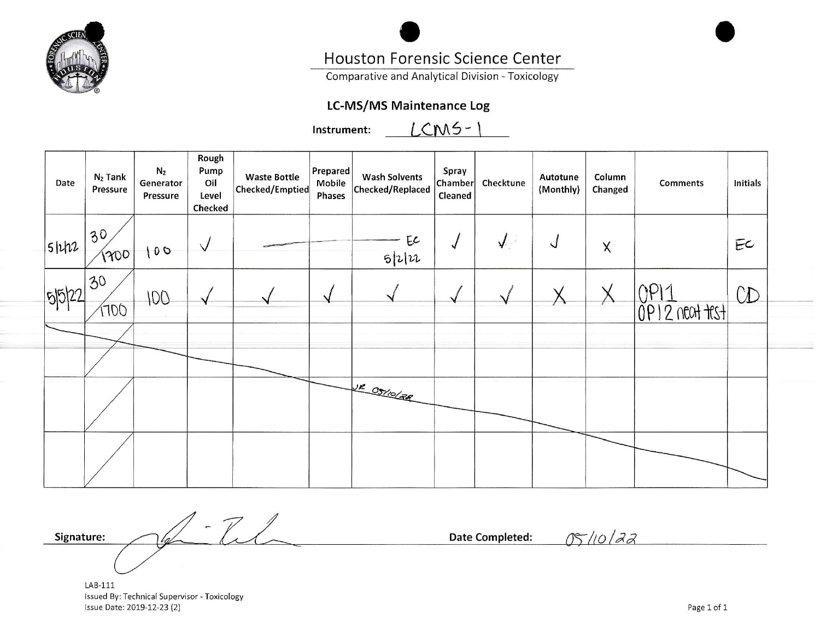

# Houston Forensic Science Center

Comparative and Analytical Division - Toxicology

# **LC-MS/MS Maintenance Log**

 $LCM5-$ Instrument:

| Date     | $N_2$ Tank<br>Pressure | N <sub>2</sub><br>Generator<br>Pressure | Rough<br>Pump<br>Oil<br>Level<br>Checked | <b>Waste Bottle</b><br>Checked/Emptied | Prepared<br>Mobile<br>Phases | <b>Wash Solvents</b><br>Checked/Replaced | Spray<br>Chamber<br>Cleaned | Checktune  | Autotune<br>(Monthly) | Column<br>Changed | <b>Comments</b>  | <b>Initials</b> |
|----------|------------------------|-----------------------------------------|------------------------------------------|----------------------------------------|------------------------------|------------------------------------------|-----------------------------|------------|-----------------------|-------------------|------------------|-----------------|
| $5$ $h2$ | 30<br>1200             | 100                                     | $\sqrt{}$                                |                                        |                              | EC<br>5 2                                |                             | $\sqrt{2}$ | $\sqrt{2}$            | $\mathsf X$       |                  | EC              |
| 5522     | 30<br>1700             | 100                                     |                                          |                                        |                              |                                          |                             |            |                       |                   | $OP12$ neat test | CD              |
|          |                        |                                         |                                          |                                        |                              |                                          |                             |            |                       |                   |                  |                 |
|          |                        |                                         |                                          |                                        |                              | NE OSTIOLER                              |                             |            |                       |                   |                  |                 |
|          |                        |                                         |                                          |                                        |                              |                                          |                             |            |                       |                   |                  |                 |

 $-L$ Signature:

Date Completed:

05/10/22

LAB-111 Issued By: Technical Supervisor - Toxicology Issue Date: 2019-12-23 (2)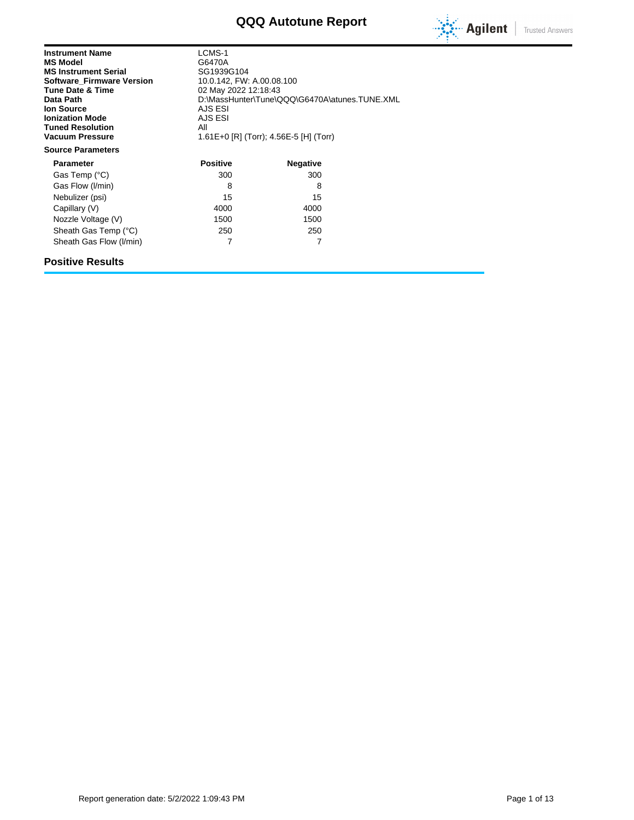# **QQQ Autotune Report**



| <b>Instrument Name</b><br><b>MS Model</b><br><b>MS Instrument Serial</b><br><b>Software Firmware Version</b><br><b>Tune Date &amp; Time</b><br>Data Path<br><b>Ion Source</b><br><b>Ionization Mode</b><br><b>Tuned Resolution</b><br><b>Vacuum Pressure</b><br><b>Source Parameters</b> | LCMS-1<br>G6470A<br>SG1939G104<br>10.0.142, FW: A.00.08.100<br>02 May 2022 12:18:43<br>D:\MassHunter\Tune\QQQ\G6470A\atunes.TUNE.XML<br>AJS ESI<br>AJS ESI<br>All<br>1.61E+0 [R] (Torr); 4.56E-5 [H] (Torr) |                 |  |  |
|------------------------------------------------------------------------------------------------------------------------------------------------------------------------------------------------------------------------------------------------------------------------------------------|-------------------------------------------------------------------------------------------------------------------------------------------------------------------------------------------------------------|-----------------|--|--|
| <b>Parameter</b>                                                                                                                                                                                                                                                                         | <b>Positive</b>                                                                                                                                                                                             | <b>Negative</b> |  |  |
| Gas Temp (°C)                                                                                                                                                                                                                                                                            | 300                                                                                                                                                                                                         | 300             |  |  |
| Gas Flow (I/min)                                                                                                                                                                                                                                                                         | 8                                                                                                                                                                                                           | 8               |  |  |
| Nebulizer (psi)                                                                                                                                                                                                                                                                          | 15                                                                                                                                                                                                          | 15              |  |  |
| Capillary (V)                                                                                                                                                                                                                                                                            | 4000                                                                                                                                                                                                        | 4000            |  |  |
| Nozzle Voltage (V)                                                                                                                                                                                                                                                                       | 1500                                                                                                                                                                                                        | 1500            |  |  |
| Sheath Gas Temp (°C)                                                                                                                                                                                                                                                                     | 250                                                                                                                                                                                                         | 250             |  |  |
| Sheath Gas Flow (I/min)                                                                                                                                                                                                                                                                  | 7                                                                                                                                                                                                           | 7               |  |  |

## **Positive Results**

Report generation date: 5/2/2022 1:09:43 PM Page 1 of 13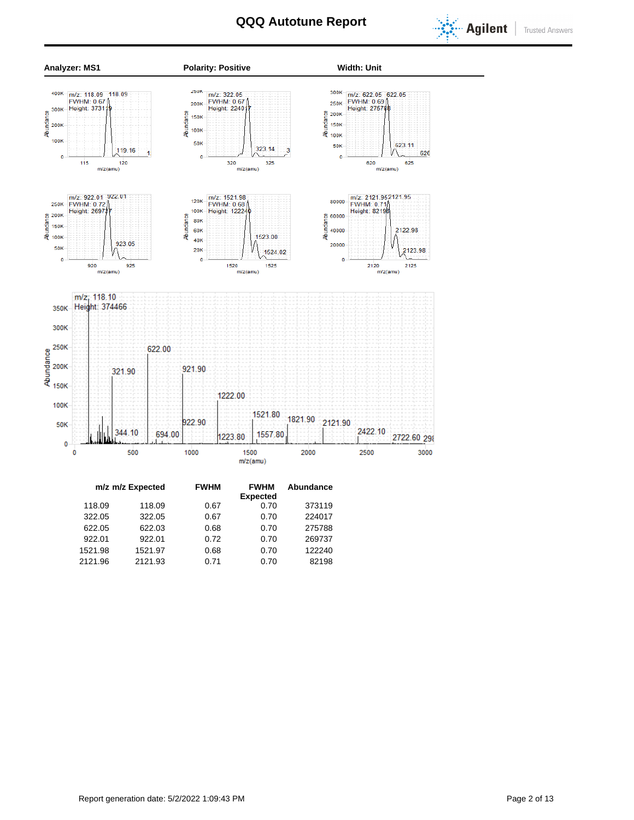



|         | m/z m/z Expected | <b>FWHM</b> | <b>FWHM</b><br><b>Expected</b> | Abundance |  |
|---------|------------------|-------------|--------------------------------|-----------|--|
| 118.09  | 118.09           | 0.67        | 0.70                           | 373119    |  |
| 322.05  | 322.05           | 0.67        | 0.70                           | 224017    |  |
| 622.05  | 622.03           | 0.68        | 0.70                           | 275788    |  |
| 922.01  | 922.01           | 0.72        | 0.70                           | 269737    |  |
| 1521.98 | 1521.97          | 0.68        | 0.70                           | 122240    |  |
| 2121.96 | 2121.93          | 0.71        | 0.70                           | 82198     |  |
|         |                  |             |                                |           |  |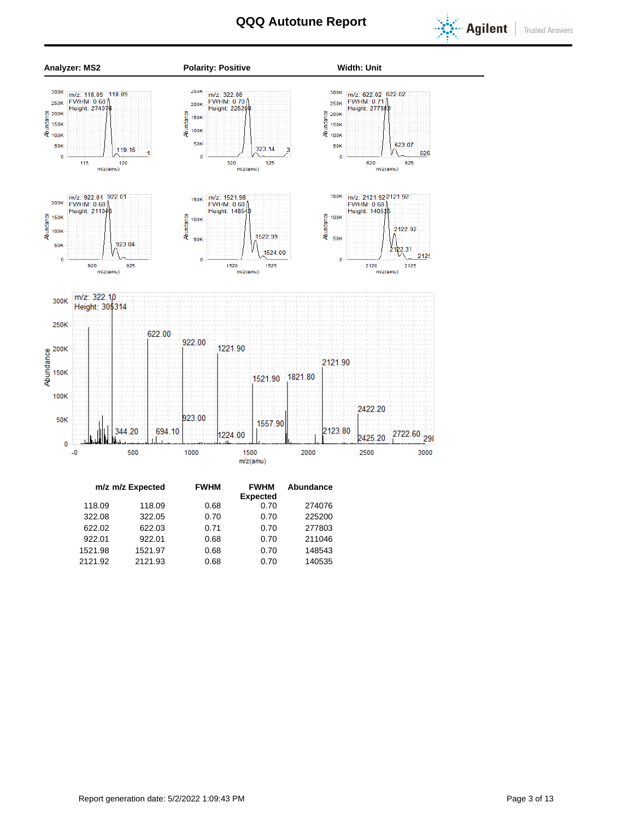



| m/z m/z Expected |         |         | <b>FWHM</b> | <b>FWHM</b>     | Abundance |  |
|------------------|---------|---------|-------------|-----------------|-----------|--|
|                  |         |         |             | <b>Expected</b> |           |  |
|                  | 118.09  | 118.09  | 0.68        | 0.70            | 274076    |  |
|                  | 322.08  | 322.05  | 0.70        | 0.70            | 225200    |  |
|                  | 622.02  | 622.03  | 0.71        | 0.70            | 277803    |  |
|                  | 922.01  | 922.01  | 0.68        | 0.70            | 211046    |  |
|                  | 1521.98 | 1521.97 | 0.68        | 0.70            | 148543    |  |
|                  | 2121.92 | 2121.93 | 0.68        | 0.70            | 140535    |  |
|                  |         |         |             |                 |           |  |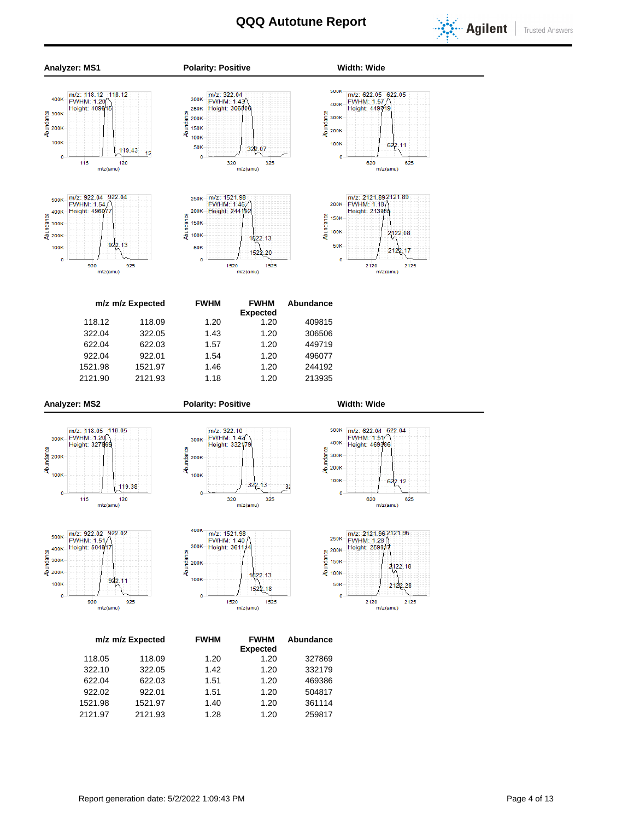SUUK

400K

 $\overline{0}$ 





922.13

 $m/z(amu)$ 

 $925$ 

 $920$ 





**Analyzer: MS1 Polarity: Positive Width: Wide**





2120 2125 m/z(amu)

| m/z m/z Expected | <b>FWHM</b> | <b>FWHM</b><br><b>Expected</b> | Abundance |
|------------------|-------------|--------------------------------|-----------|
| 118.09           | 1.20        | 1.20                           | 409815    |
| 322.05           | 1.43        | 1.20                           | 306506    |
| 622.03           | 1.57        | 1.20                           | 449719    |
| 922.01           | 1.54        | 1.20                           | 496077    |
| 1521.97          | 1.46        | 1.20                           | 244192    |
| 2121.93          | 1.18        | 1.20                           | 213935    |
|                  |             |                                |           |

100K

 $\overline{0}$ 



**400K** 

300K

100K

 $\overline{0}$ 

Abundance 200K









m/z: 1521.98

FWHM: 1.40

1520

1522.13

1522.18

m/z(amu)

1525





|         | m/z m/z Expected | <b>FWHM</b> | <b>FWHM</b><br><b>Expected</b> | Abundance |
|---------|------------------|-------------|--------------------------------|-----------|
| 118.05  | 118.09           | 1.20        | 1.20                           | 327869    |
| 322.10  | 322.05           | 1.42        | 1.20                           | 332179    |
| 622.04  | 622.03           | 1.51        | 1.20                           | 469386    |
| 922.02  | 922.01           | 1.51        | 1.20                           | 504817    |
| 1521.98 | 1521.97          | 1.40        | 1.20                           | 361114    |
| 2121.97 | 2121.93          | 1.28        | 1.20                           | 259817    |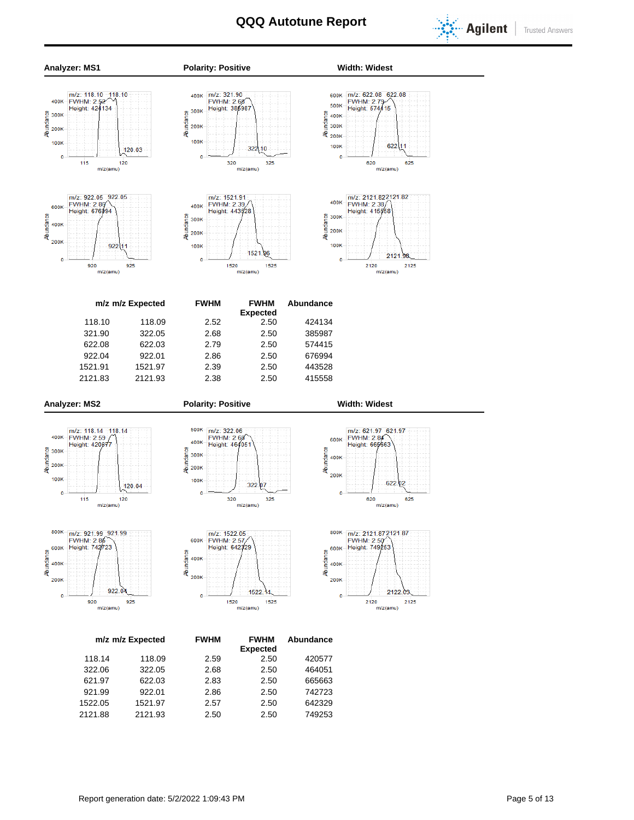



1522.05 1521.97 2.57 2.50 642329 2121.88 2121.93 2.50 2.50 749253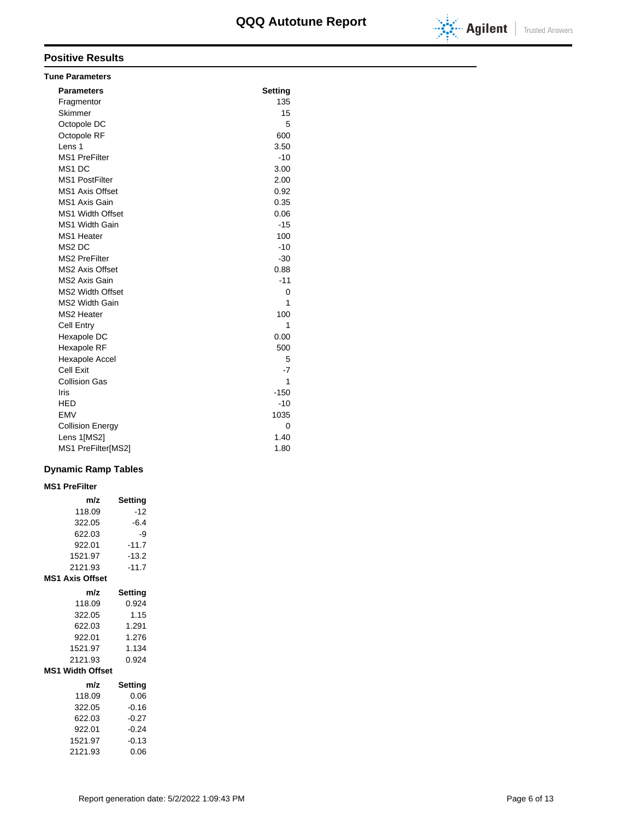

## **Positive Results**

| <b>Tune Parameters</b>  |                |
|-------------------------|----------------|
| <b>Parameters</b>       | <b>Setting</b> |
| Fragmentor              | 135            |
| Skimmer                 | 15             |
| Octopole DC             | 5              |
| Octopole RF             | 600            |
| Lens 1                  | 3.50           |
| <b>MS1 PreFilter</b>    | $-10$          |
| MS <sub>1</sub> DC      | 3.00           |
| <b>MS1 PostFilter</b>   | 2.00           |
| <b>MS1 Axis Offset</b>  | 0.92           |
| <b>MS1 Axis Gain</b>    | 0.35           |
| <b>MS1 Width Offset</b> | 0.06           |
| MS1 Width Gain          | $-15$          |
| MS1 Heater              | 100            |
| MS <sub>2</sub> DC      | $-10$          |
| <b>MS2 PreFilter</b>    | $-30$          |
| <b>MS2 Axis Offset</b>  | 0.88           |
| MS2 Axis Gain           | $-11$          |
| MS2 Width Offset        | 0              |
| <b>MS2 Width Gain</b>   | 1              |
| MS2 Heater              | 100            |
| <b>Cell Entry</b>       | 1              |
| Hexapole DC             | 0.00           |
| Hexapole RF             | 500            |
| Hexapole Accel          | 5              |
| Cell Exit               | $-7$           |
| <b>Collision Gas</b>    | 1              |
| Iris                    | $-150$         |
| HED                     | $-10$          |
| <b>EMV</b>              | 1035           |
| <b>Collision Energy</b> | 0              |
| Lens 1[MS2]             | 1.40           |
| MS1 PreFilter[MS2]      | 1.80           |

## **Dynamic Ramp Tables**

### **m/z Setting**  $118.09$   $-12$ **MS1 PreFilter**

| II 0.UJ                 | ॱ≀∠     |
|-------------------------|---------|
| 322.05                  | $-6.4$  |
| 622.03                  | -9      |
| 922.01                  | $-11.7$ |
| 1521.97                 | $-13.2$ |
| 2121.93                 | $-11.7$ |
| <b>MS1 Axis Offset</b>  |         |
| m/z                     | Setting |
| 118.09                  | 0.924   |
| 322.05                  | 1.15    |
| 622.03                  | 1.291   |
| 922.01                  | 1.276   |
| 1521.97                 | 1.134   |
| 2121.93                 | 0.924   |
| <b>MS1 Width Offset</b> |         |
| m/z                     | Setting |
| 118.09                  | 0.06    |
| 322.05                  | $-0.16$ |
| 622.03                  | $-0.27$ |
| 922.01                  | $-0.24$ |
| 1521.97                 | $-0.13$ |
| 2121.93                 | 0.06    |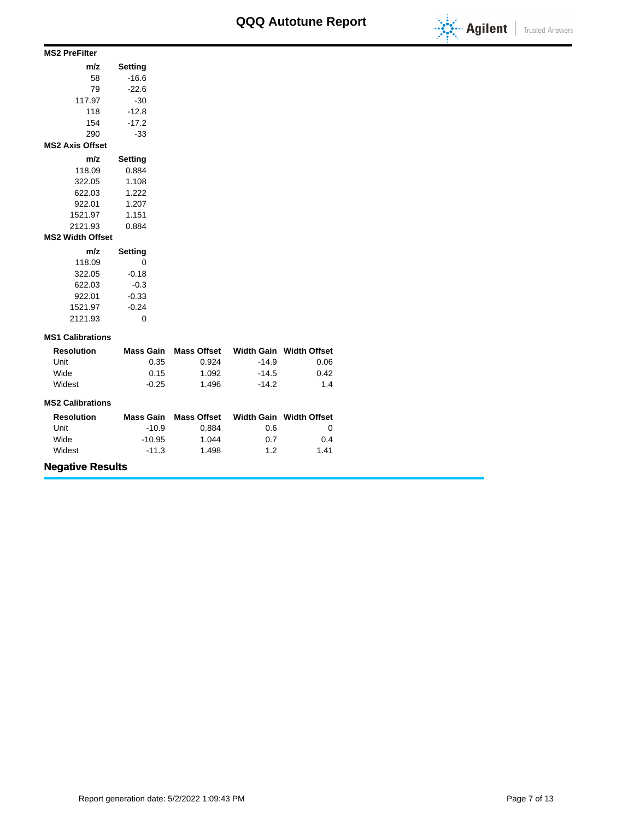

#### **m/z Setting** 58 -16.6 79 -22.6 117.97 -30 118 -12.8 154 -17.2 290 -33 **MS2 PreFilter m/z Setting** 118.09 0.884 322.05 1.108 622.03 1.222 922.01 1.207 1521.97 1.151 2121.93 0.884 **MS2 Axis Offset**

#### **MS2 Width Offset**

| Setting | m/z     |
|---------|---------|
| 0       | 118.09  |
| $-0.18$ | 322.05  |
| $-0.3$  | 622.03  |
| $-0.33$ | 922.01  |
| $-0.24$ | 1521.97 |
|         | 2121.93 |

#### **MS1 Calibrations**

| <b>Resolution</b> | Mass Gain | <b>Mass Offset</b> |         | Width Gain Width Offset |
|-------------------|-----------|--------------------|---------|-------------------------|
| Unit              | 0.35      | 0.924              | $-14.9$ | 0.06                    |
| Wide              | 0.15      | 1.092              | $-14.5$ | 0.42                    |
| Widest            | $-0.25$   | 1.496              | $-14.2$ | 1.4                     |

#### **MS2 Calibrations**

| <b>Resolution</b> | Mass Gain | <b>Mass Offset</b> |     | Width Gain Width Offset |
|-------------------|-----------|--------------------|-----|-------------------------|
| Unit              | $-10.9$   | 0.884              | 0.6 |                         |
| Wide              | -10.95    | 1.044              | 0.7 | 0.4                     |
| Widest            | $-11.3$   | 1.498              | 1.2 | 1.41                    |

# **Negative Results**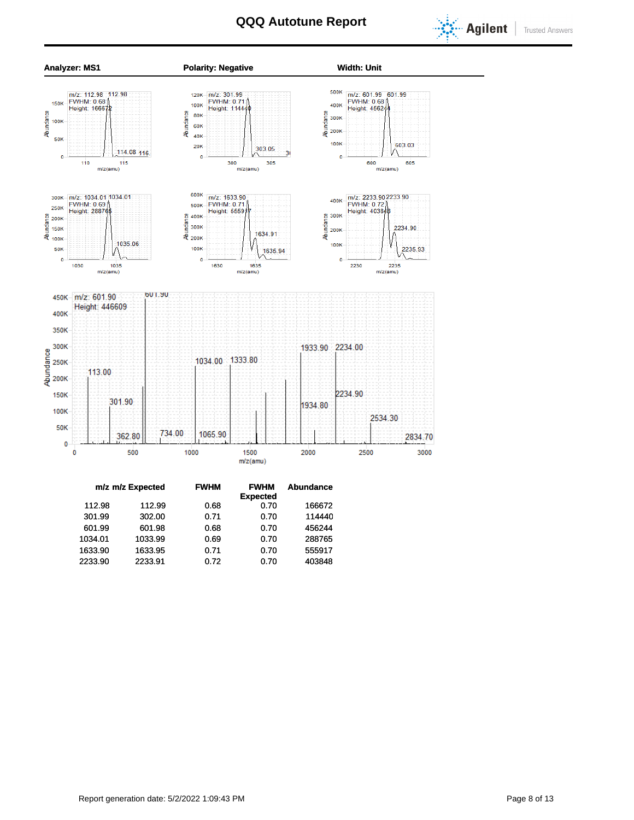



|         | m/z m/z Expected | <b>FWHM</b> | <b>FWHM</b>     | <b>Abundance</b> |
|---------|------------------|-------------|-----------------|------------------|
|         |                  |             | <b>Expected</b> |                  |
| 112.98  | 112.99           | 0.68        | 0.70            | 166672           |
| 301.99  | 302.00           | 0.71        | 0.70            | 114440           |
| 601.99  | 601.98           | 0.68        | 0.70            | 456244           |
| 1034.01 | 1033.99          | 0.69        | 0.70            | 288765           |
| 1633.90 | 1633.95          | 0.71        | 0.70            | 555917           |
| 2233.90 | 2233.91          | 0.72        | 0.70            | 403848           |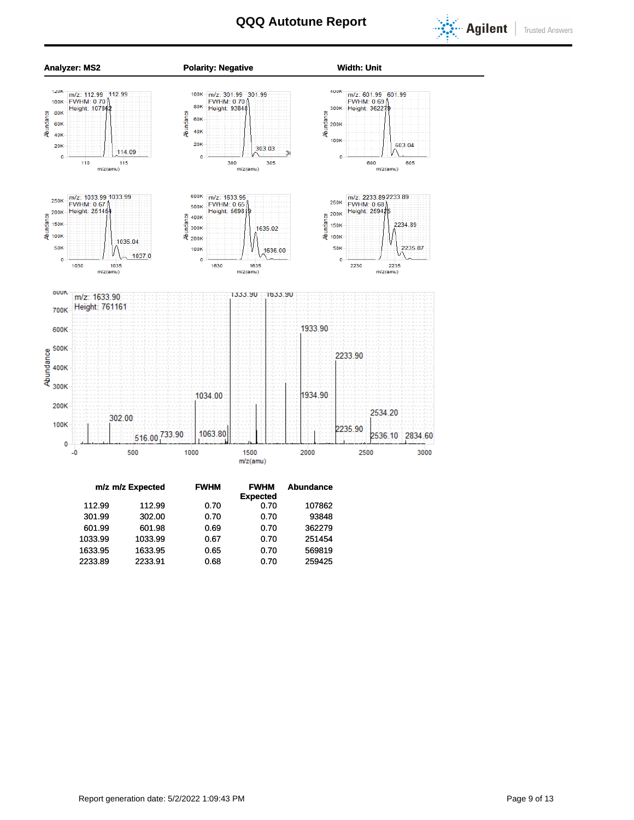



|         | m/z m/z Expected | <b>FWHM</b> | <b>FWHM</b>     | Abundance |  |  |
|---------|------------------|-------------|-----------------|-----------|--|--|
|         |                  |             | <b>Expected</b> |           |  |  |
| 112.99  | 112.99           | 0.70        | 0.70            | 107862    |  |  |
| 301.99  | 302.00           | 0.70        | 0.70            | 93848     |  |  |
| 601.99  | 601.98           | 0.69        | 0.70            | 362279    |  |  |
| 1033.99 | 1033.99          | 0.67        | 0.70            | 251454    |  |  |
| 1633.95 | 1633.95          | 0.65        | 0.70            | 569819    |  |  |
| 2233.89 | 2233.91          | 0.68        | 0.70            | 259425    |  |  |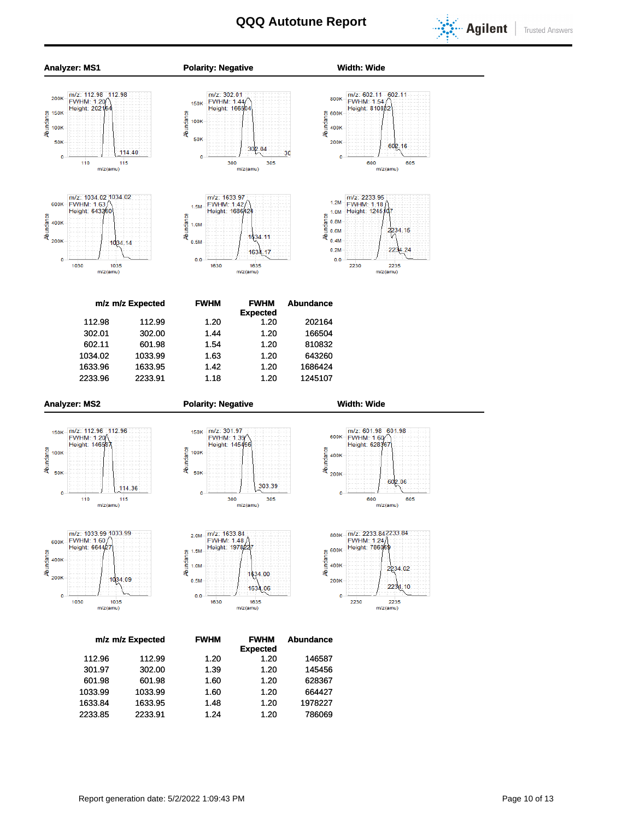

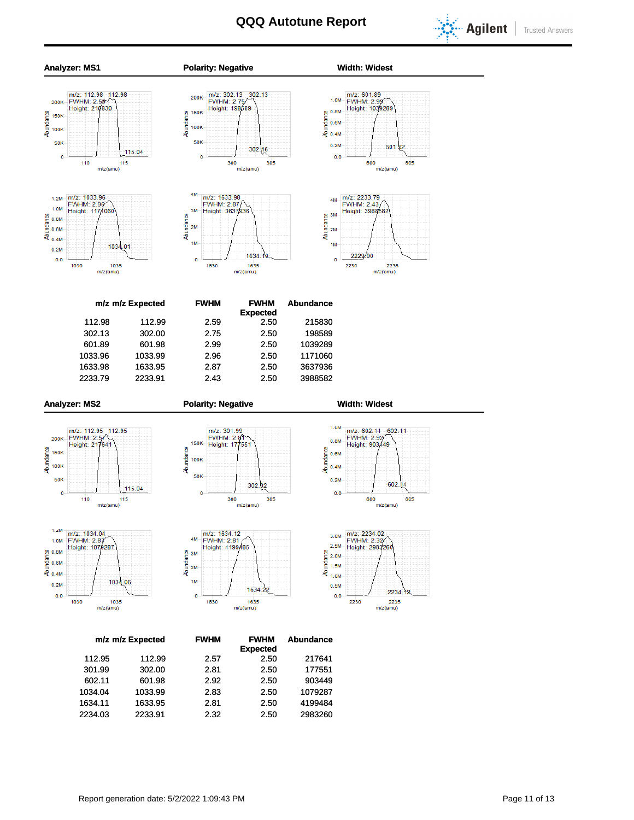

**Trusted Answers** 



1634.11 1633.95 2.81 2.50 4199484 2234.03 2233.91 2.32 2.50 2983260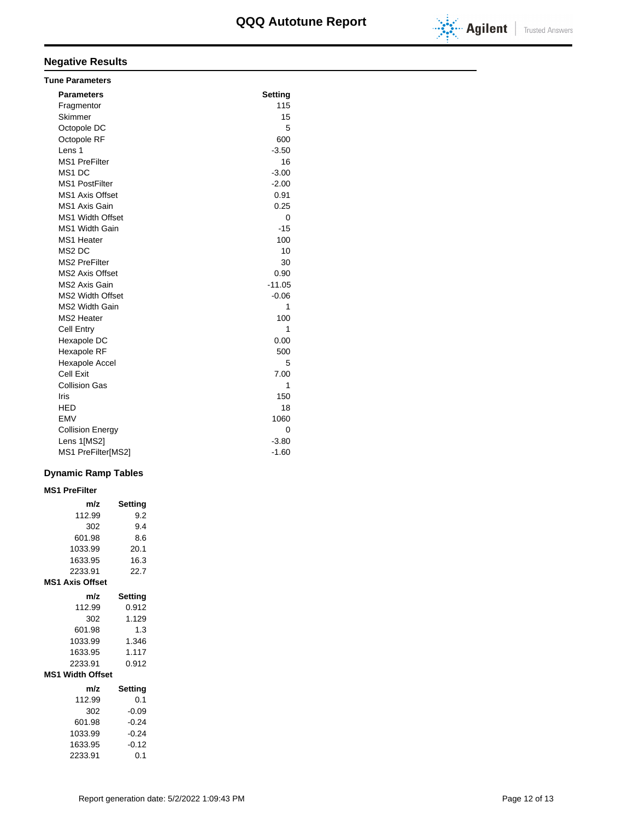

# **Negative Results**

| <b>Tune Parameters</b>  |                |
|-------------------------|----------------|
| <b>Parameters</b>       | <b>Setting</b> |
| Fragmentor              | 115            |
| Skimmer                 | 15             |
| Octopole DC             | 5              |
| Octopole RF             | 600            |
| Lens 1                  | $-3.50$        |
| <b>MS1 PreFilter</b>    | 16             |
| MS <sub>1</sub> DC      | $-3.00$        |
| <b>MS1 PostFilter</b>   | $-2.00$        |
| <b>MS1 Axis Offset</b>  | 0.91           |
| <b>MS1 Axis Gain</b>    | 0.25           |
| <b>MS1 Width Offset</b> | 0              |
| <b>MS1 Width Gain</b>   | $-15$          |
| MS1 Heater              | 100            |
| MS <sub>2</sub> DC      | 10             |
| <b>MS2 PreFilter</b>    | 30             |
| <b>MS2 Axis Offset</b>  | 0.90           |
| MS2 Axis Gain           | $-11.05$       |
| <b>MS2 Width Offset</b> | $-0.06$        |
| <b>MS2 Width Gain</b>   | 1              |
| <b>MS2 Heater</b>       | 100            |
| <b>Cell Entry</b>       | 1              |
| Hexapole DC             | 0.00           |
| Hexapole RF             | 500            |
| Hexapole Accel          | 5              |
| Cell Exit               | 7.00           |
| <b>Collision Gas</b>    | 1              |
| Iris                    | 150            |
| <b>HED</b>              | 18             |
| <b>EMV</b>              | 1060           |
| <b>Collision Energy</b> | 0              |
| Lens 1[MS2]             | $-3.80$        |
| MS1 PreFilter[MS2]      | $-1.60$        |

## **Dynamic Ramp Tables**

**MS1 PreFilter**

| m/z                     | Setting |  |  |  |  |  |
|-------------------------|---------|--|--|--|--|--|
| 112.99                  | 9.2     |  |  |  |  |  |
| 302                     | 9.4     |  |  |  |  |  |
| 601.98                  | 8.6     |  |  |  |  |  |
| 1033.99                 | 20.1    |  |  |  |  |  |
| 1633.95                 | 16.3    |  |  |  |  |  |
| 2233.91                 | 22.7    |  |  |  |  |  |
| <b>MS1 Axis Offset</b>  |         |  |  |  |  |  |
| m/z                     | Setting |  |  |  |  |  |
| 112.99                  | 0.912   |  |  |  |  |  |
| 302                     | 1.129   |  |  |  |  |  |
| 601.98                  | 1.3     |  |  |  |  |  |
| 1033.99                 | 1.346   |  |  |  |  |  |
| 1633.95                 | 1.117   |  |  |  |  |  |
| 2233.91                 | 0.912   |  |  |  |  |  |
| <b>MS1 Width Offset</b> |         |  |  |  |  |  |
| m/z                     | Setting |  |  |  |  |  |
| 112.99                  | 0.1     |  |  |  |  |  |
| 302                     | $-0.09$ |  |  |  |  |  |
| 601.98                  | $-0.24$ |  |  |  |  |  |
| 1033.99                 | $-0.24$ |  |  |  |  |  |
| 1633.95                 | $-0.12$ |  |  |  |  |  |

2233.91 0.1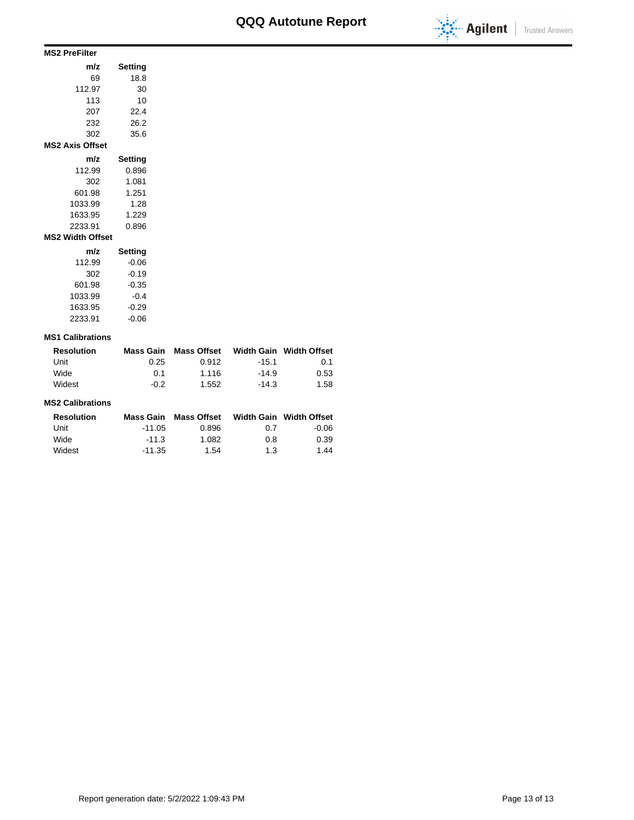

| <b>MS2 PreFilter</b>    |         |
|-------------------------|---------|
| m/z                     | Setting |
| 69                      | 18.8    |
| 112.97                  | 30      |
| 113                     | 10      |
| 207                     | 22.4    |
| 232                     | 26.2    |
| 302                     | 35.6    |
| <b>MS2 Axis Offset</b>  |         |
| m/z                     | Setting |
| 112.99                  | 0.896   |
| 302                     | 1.081   |
| 601.98                  | 1.251   |
| 1033.99                 | 1.28    |
| 1633.95                 | 1.229   |
| 2233.91                 | 0.896   |
| <b>MS2 Width Offset</b> |         |
| m/z                     | Setting |
| 112.99                  | $-0.06$ |
| 302                     | $-0.19$ |
| 601.98                  | $-0.35$ |
| 1033.99                 | $-0.4$  |
| 1633.95                 | $-0.29$ |

#### **MS1 Calibrations**

2233.91 -0.06

| Resolution | Mass Gain | Mass Offset |         | Width Gain Width Offset |
|------------|-----------|-------------|---------|-------------------------|
| Unit       | 0.25      | 0.912       | $-15.1$ | 0.1                     |
| Wide       | 0.1       | 1.116       | $-14.9$ | 0.53                    |
| Widest     | -0.2      | 1.552       | $-14.3$ | 1.58                    |

#### **MS2 Calibrations**

| <b>Resolution</b> | Mass Gain | Mass Offset |     | Width Gain Width Offset |
|-------------------|-----------|-------------|-----|-------------------------|
| Unit              | $-11.05$  | 0.896       | 0.7 | $-0.06$                 |
| Wide              | $-11.3$   | 1.082       | 0.8 | 0.39                    |
| Widest            | $-11.35$  | 1.54        | 1.3 | 1.44                    |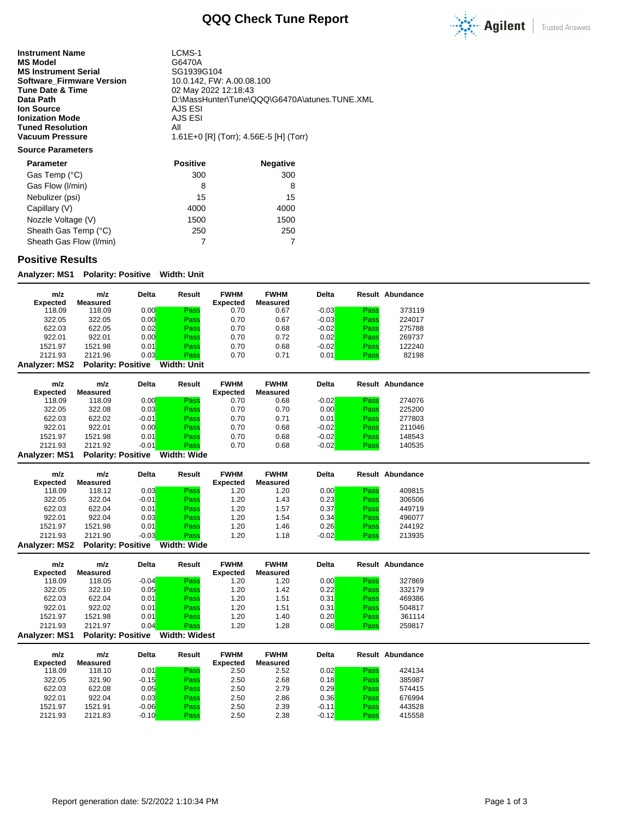

**Instrument Name** LCMS-1<br> **MS Model** G6470A **MS Model** G6470A<br> **MS Instrument Serial** GG1939G104 **MS Instrument Serial Serial SG1939G104**<br>**Software\_Firmware Version** 10.0.142, FW: A.00.08.100 **Software\_Firmware Version**<br>Tune Date & Time **Tune Date & Time** 02 May 2022 12:18:43<br> **Data Path** 02 MassHunter\Tune\C **Ion Source** AJS ESI<br> **Ionization Mode** AJS ESI **Ionization Mode** AJS<br> **Tuned Resolution** All **Tuned Resolution<br>Vacuum Pressure** 

D:\MassHunter\Tune\QQQ\G6470A\atunes.TUNE.XML<br>AJS ESI **Vacuum Pressure** 1.61E+0 [R] (Torr); 4.56E-5 [H] (Torr)

#### **Source Parameters**

| <b>Parameter</b>        | <b>Positive</b> | <b>Negative</b> |
|-------------------------|-----------------|-----------------|
| Gas Temp (°C)           | 300             | 300             |
| Gas Flow (I/min)        | 8               | 8               |
| Nebulizer (psi)         | 15              | 15              |
| Capillary (V)           | 4000            | 4000            |
| Nozzle Voltage (V)      | 1500            | 1500            |
| Sheath Gas Temp (°C)    | 250             | 250             |
| Sheath Gas Flow (I/min) |                 |                 |

## **Positive Results**

**Analyzer: MS1 Polarity: Positive Width: Unit**

| m/z             | m/z                       | <b>Delta</b> | Result      | <b>FWHM</b>     | <b>FWHM</b> | <b>Delta</b> |      | <b>Result Abundance</b> |
|-----------------|---------------------------|--------------|-------------|-----------------|-------------|--------------|------|-------------------------|
| <b>Expected</b> | Measured                  |              |             | <b>Expected</b> | Measured    |              |      |                         |
| 118.09          | 118.09                    | 0.00         | Pass        | 0.70            | 0.67        | $-0.03$      | Pass | 373119                  |
| 322.05          | 322.05                    | 0.00         | Pass        | 0.70            | 0.67        | $-0.03$      | Pass | 224017                  |
| 622.03          | 622.05                    | 0.02         | Pass        | 0.70            | 0.68        | $-0.02$      | Pass | 275788                  |
| 922.01          | 922.01                    | 0.00         | Pass        | 0.70            | 0.72        | 0.02         | Pass | 269737                  |
| 1521.97         | 1521.98                   | 0.01         | Pass        | 0.70            | 0.68        | $-0.02$      | Pass | 122240                  |
| 2121.93         | 2121.96                   | 0.03         | Pass        | 0.70            | 0.71        | 0.01         | Pass | 82198                   |
| Analyzer: MS2   | <b>Polarity: Positive</b> |              | Width: Unit |                 |             |              |      |                         |

| m/z             | m/z      | <b>Delta</b> | Result | <b>FWHM</b>     | <b>FWHM</b> | <b>Delta</b> |      | Result Abundance |
|-----------------|----------|--------------|--------|-----------------|-------------|--------------|------|------------------|
| <b>Expected</b> | Measured |              |        | <b>Expected</b> | Measured    |              |      |                  |
| 118.09          | 118.09   | 0.00         | Pass   | 0.70            | 0.68        | $-0.02$      | Pass | 274076           |
| 322.05          | 322.08   | 0.03         | Pass   | 0.70            | 0.70        | 0.00         | Pass | 225200           |
| 622.03          | 622.02   | $-0.01$      | Pass   | 0.70            | 0.71        | 0.01         | Pass | 277803           |
| 922.01          | 922.01   | 0.00         | Pass   | 0.70            | 0.68        | $-0.02$      | Pass | 211046           |
| 1521.97         | 1521.98  | 0.01         | Pass   | 0.70            | 0.68        | $-0.02$      | Pass | 148543           |
| 2121.93         | 2121.92  | $-0.01$      | Pass   | 0.70            | 0.68        | $-0.02$      | Pass | 140535           |
|                 |          |              | -----  |                 |             |              |      |                  |

**Analyzer: MS1 Polarity: Positive Width: Wide**

| m/z<br>Expected | m/z<br>Measured           | Delta   | Result      | <b>FWHM</b><br><b>Expected</b> | <b>FWHM</b><br>Measured | <b>Delta</b> |      | Result Abundance |
|-----------------|---------------------------|---------|-------------|--------------------------------|-------------------------|--------------|------|------------------|
| 118.09          | 118.12                    | 0.03    | Pass        | 1.20                           | 1.20                    | 0.00         | Pass | 409815           |
| 322.05          | 322.04                    | $-0.01$ | Pass        | 1.20                           | 1.43                    | 0.23         | Pass | 306506           |
| 622.03          | 622.04                    | 0.01    | Pass        | 1.20                           | 1.57                    | 0.37         | Pass | 449719           |
| 922.01          | 922.04                    | 0.03    | Pass        | 1.20                           | 1.54                    | 0.34         | Pass | 496077           |
| 1521.97         | 1521.98                   | 0.01    | Pass        | 1.20                           | 1.46                    | 0.26         | Pass | 244192           |
| 2121.93         | 2121.90                   | $-0.03$ | Pass        | 1.20                           | 1.18                    | $-0.02$      | Pass | 213935           |
| Analyzer: MS2   | <b>Polarity: Positive</b> |         | Width: Wide |                                |                         |              |      |                  |

| m/z<br><b>Expected</b> | m/z<br>Measured           | Delta   | Result               | <b>FWHM</b><br><b>Expected</b> | <b>FWHM</b><br>Measured | <b>Delta</b> |      | Result Abundance |
|------------------------|---------------------------|---------|----------------------|--------------------------------|-------------------------|--------------|------|------------------|
| 118.09                 | 118.05                    | $-0.04$ | Pass                 | 1.20                           | 1.20                    | 0.00         | Pass | 327869           |
| 322.05                 | 322.10                    | 0.05    | Pass                 | 1.20                           | 1.42                    | 0.22         | Pass | 332179           |
| 622.03                 | 622.04                    | 0.01    | Pass                 | 1.20                           | 1.51                    | 0.31         | Pass | 469386           |
| 922.01                 | 922.02                    | 0.01    | Pass                 | 1.20                           | 1.51                    | 0.31         | Pass | 504817           |
| 1521.97                | 1521.98                   | 0.01    | Pass                 | 1.20                           | 1.40                    | 0.20         | Pass | 361114           |
| 2121.93                | 2121.97                   | 0.04    | Pass                 | 1.20                           | 1.28                    | 0.08         | Pass | 259817           |
| <b>Analyzer: MS1</b>   | <b>Polarity: Positive</b> |         | <b>Width: Widest</b> |                                |                         |              |      |                  |

| m/z<br><b>Expected</b> | m/z<br>Measured | <b>Delta</b> | Result | <b>FWHM</b><br><b>Expected</b> | <b>FWHM</b><br>Measured | <b>Delta</b> |      | Result Abundance |
|------------------------|-----------------|--------------|--------|--------------------------------|-------------------------|--------------|------|------------------|
| 118.09                 | 118.10          | 0.01         | Pass   | 2.50                           | 2.52                    | 0.02         | Pass | 424134           |
| 322.05                 | 321.90          | $-0.15$      | Pass   | 2.50                           | 2.68                    | 0.18         | Pass | 385987           |
| 622.03                 | 622.08          | 0.05         | Pass   | 2.50                           | 2.79                    | 0.29         | Pass | 574415           |
| 922.01                 | 922.04          | 0.03         | Pass   | 2.50                           | 2.86                    | 0.36         | Pass | 676994           |
| 1521.97                | 1521.91         | $-0.06$      | Pass   | 2.50                           | 2.39                    | $-0.11$      | Pass | 443528           |
| 2121.93                | 2121.83         | $-0.10$      | Pass   | 2.50                           | 2.38                    | $-0.12$      | Pass | 415558           |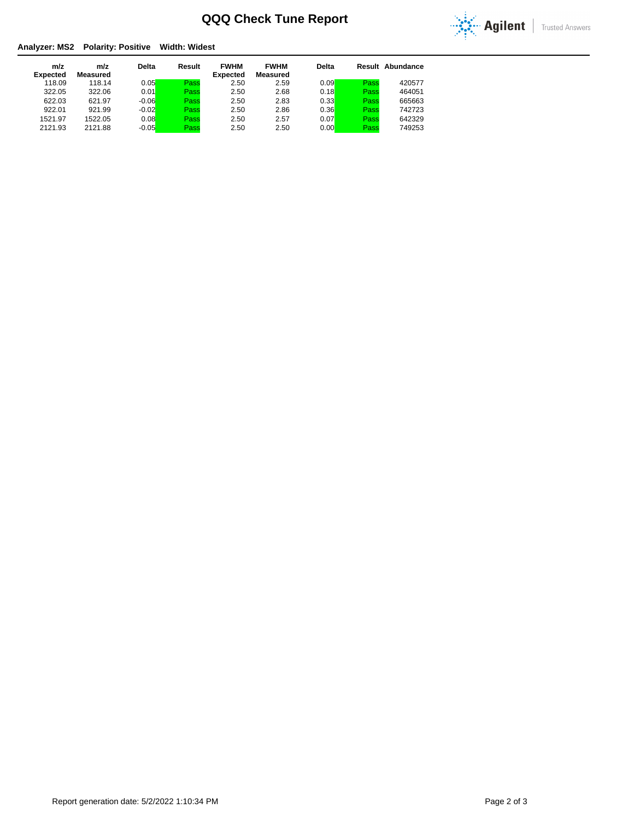

### **Analyzer: MS2 Polarity: Positive Width: Widest**

| m/z<br><b>Expected</b> | m/z<br>Measured | <b>Delta</b> | Result | <b>FWHM</b><br><b>Expected</b> | <b>FWHM</b><br>Measured | <b>Delta</b> |      | Result Abundance |
|------------------------|-----------------|--------------|--------|--------------------------------|-------------------------|--------------|------|------------------|
| 118.09                 | 118.14          | 0.05         | Pass   | 2.50                           | 2.59                    | 0.09         | Pass | 420577           |
| 322.05                 | 322.06          | 0.01         | Pass   | 2.50                           | 2.68                    | 0.18         | Pass | 464051           |
| 622.03                 | 621.97          | $-0.06$      | Pass   | 2.50                           | 2.83                    | 0.33         | Pass | 665663           |
| 922.01                 | 921.99          | $-0.02$      | Pass   | 2.50                           | 2.86                    | 0.36         | Pass | 742723           |
| 1521.97                | 1522.05         | 0.08         | Pass   | 2.50                           | 2.57                    | 0.07         | Pass | 642329           |
| 2121.93                | 2121.88         | $-0.05$      | Pass   | 2.50                           | 2.50                    | 0.00         | Pass | 749253           |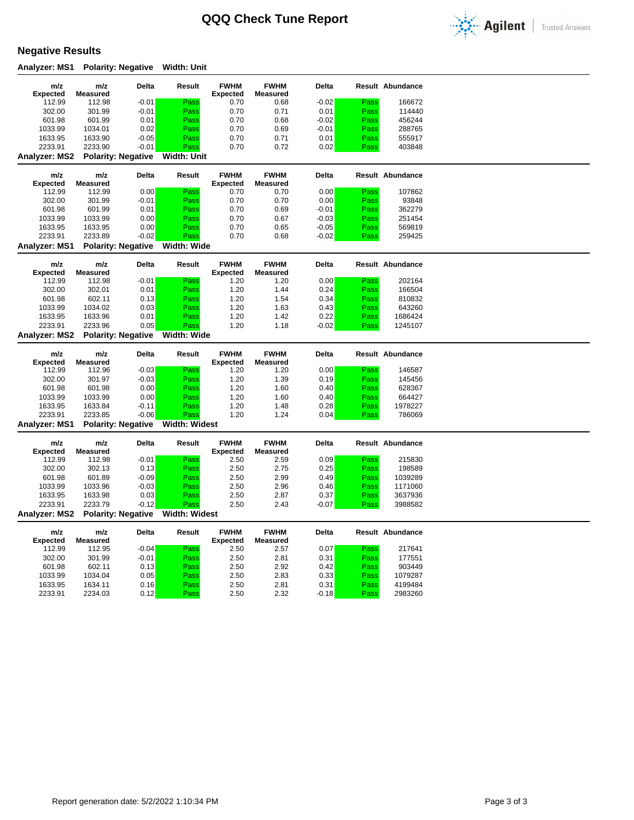

## **Negative Results**

**Analyzer: MS1 Polarity: Negative Width: Unit**

| m/z                       | m/z                       | Delta                     | Result               | <b>FWHM</b>     | <b>FWHM</b>      | Delta        |      | <b>Result Abundance</b> |  |
|---------------------------|---------------------------|---------------------------|----------------------|-----------------|------------------|--------------|------|-------------------------|--|
| <b>Expected</b><br>112.99 | <b>Measured</b><br>112.98 | $-0.01$                   | Pass                 | <b>Expected</b> | Measured<br>0.68 | $-0.02$      | Pass | 166672                  |  |
| 302.00                    | 301.99                    | $-0.01$                   | Pass                 | 0.70<br>0.70    | 0.71             | 0.01         | Pass | 114440                  |  |
| 601.98                    | 601.99                    | 0.01                      | Pass                 | 0.70            | 0.68             | $-0.02$      | Pass | 456244                  |  |
| 1033.99                   | 1034.01                   | 0.02                      | Pass                 | 0.70            | 0.69             | $-0.01$      | Pass | 288765                  |  |
| 1633.95                   | 1633.90                   | $-0.05$                   | Pass                 | 0.70            | 0.71             | 0.01         | Pass | 555917                  |  |
| 2233.91                   | 2233.90                   | $-0.01$                   | Pass                 | 0.70            | 0.72             | 0.02         | Pass | 403848                  |  |
| <b>Analyzer: MS2</b>      |                           | <b>Polarity: Negative</b> | <b>Width: Unit</b>   |                 |                  |              |      |                         |  |
|                           |                           |                           |                      |                 |                  |              |      |                         |  |
| m/z                       | m/z                       | Delta                     | Result               | <b>FWHM</b>     | <b>FWHM</b>      | <b>Delta</b> |      | <b>Result Abundance</b> |  |
| <b>Expected</b>           | <b>Measured</b>           |                           |                      | <b>Expected</b> | Measured         |              |      |                         |  |
| 112.99                    | 112.99                    | 0.00                      | Pass                 | 0.70            | 0.70             | 0.00         | Pass | 107862                  |  |
| 302.00                    | 301.99                    | $-0.01$                   | Pass                 | 0.70            | 0.70             | 0.00         | Pass | 93848                   |  |
| 601.98                    | 601.99                    | 0.01                      | Pass                 | 0.70            | 0.69             | $-0.01$      | Pass | 362279                  |  |
| 1033.99                   | 1033.99                   | 0.00                      | Pass                 | 0.70            | 0.67             | $-0.03$      | Pass | 251454                  |  |
| 1633.95                   | 1633.95                   | 0.00                      | Pass                 | 0.70            | 0.65             | $-0.05$      | Pass | 569819                  |  |
| 2233.91                   | 2233.89                   | $-0.02$                   | Pass                 | 0.70            | 0.68             | $-0.02$      | Pass | 259425                  |  |
| Analyzer: MS1             |                           | <b>Polarity: Negative</b> | Width: Wide          |                 |                  |              |      |                         |  |
| m/z                       | m/z                       | Delta                     | Result               | <b>FWHM</b>     | <b>FWHM</b>      | Delta        |      | <b>Result Abundance</b> |  |
| <b>Expected</b>           | <b>Measured</b>           |                           |                      | <b>Expected</b> | <b>Measured</b>  |              |      |                         |  |
| 112.99                    | 112.98                    | $-0.01$                   | Pass                 | 1.20            | 1.20             | 0.00         | Pass | 202164                  |  |
| 302.00                    | 302.01                    | 0.01                      | Pass                 | 1.20            | 1.44             | 0.24         | Pass | 166504                  |  |
| 601.98                    | 602.11                    | 0.13                      | Pass                 | 1.20            | 1.54             | 0.34         | Pass | 810832                  |  |
| 1033.99                   | 1034.02                   | 0.03                      | Pass                 | 1.20            | 1.63             | 0.43         | Pass | 643260                  |  |
| 1633.95                   | 1633.96                   | 0.01                      | Pass                 | 1.20            | 1.42             | 0.22         | Pass | 1686424                 |  |
| 2233.91                   | 2233.96                   | 0.05                      | Pass                 | 1.20            | 1.18             | $-0.02$      | Pass | 1245107                 |  |
| Analyzer: MS2             |                           | <b>Polarity: Negative</b> | Width: Wide          |                 |                  |              |      |                         |  |
|                           |                           |                           |                      |                 |                  |              |      |                         |  |
|                           |                           |                           |                      |                 |                  |              |      |                         |  |
| m/z                       | m/z                       | Delta                     | Result               | <b>FWHM</b>     | <b>FWHM</b>      | Delta        |      | <b>Result Abundance</b> |  |
| <b>Expected</b>           | <b>Measured</b>           |                           |                      | <b>Expected</b> | Measured         |              |      |                         |  |
| 112.99                    | 112.96                    | $-0.03$                   | Pass                 | 1.20            | 1.20             | 0.00         | Pass | 146587                  |  |
| 302.00                    | 301.97                    | $-0.03$                   | Pass                 | 1.20            | 1.39             | 0.19         | Pass | 145456                  |  |
| 601.98                    | 601.98                    | 0.00                      | Pass                 | 1.20            | 1.60             | 0.40         | Pass | 628367                  |  |
| 1033.99                   | 1033.99                   | 0.00                      | Pass                 | 1.20            | 1.60             | 0.40         | Pass | 664427                  |  |
| 1633.95                   | 1633.84                   | $-0.11$                   | Pass                 | 1.20            | 1.48             | 0.28         | Pass | 1978227                 |  |
| 2233.91                   | 2233.85                   | $-0.06$                   | Pass                 | 1.20            | 1.24             | 0.04         | Pass | 786069                  |  |
| <b>Analyzer: MS1</b>      |                           | <b>Polarity: Negative</b> | <b>Width: Widest</b> |                 |                  |              |      |                         |  |
| m/z                       | m/z                       | Delta                     | Result               | <b>FWHM</b>     | <b>FWHM</b>      | Delta        |      | <b>Result Abundance</b> |  |
| <b>Expected</b>           | <b>Measured</b>           |                           |                      | <b>Expected</b> | Measured         |              |      |                         |  |
| 112.99                    | 112.98                    | $-0.01$                   | Pass                 | 2.50            | 2.59             | 0.09         | Pass | 215830                  |  |
| 302.00                    | 302.13                    | 0.13                      | Pass                 | 2.50            | 2.75             | 0.25         | Pass | 198589                  |  |
| 601.98                    | 601.89                    | $-0.09$                   | Pass                 | 2.50            | 2.99             | 0.49         | Pass | 1039289                 |  |
| 1033.99                   | 1033.96                   | $-0.03$                   | Pass                 | 2.50            | 2.96             | 0.46         | Pass | 1171060                 |  |
| 1633.95                   | 1633.98                   | 0.03                      | Pass                 | 2.50            | 2.87             | 0.37         | Pass | 3637936                 |  |
| 2233.91                   | 2233.79                   | $-0.12$                   | Pass                 | 2.50            | 2.43             | $-0.07$      | Pass | 3988582                 |  |
| Analyzer: MS2             |                           | <b>Polarity: Negative</b> | <b>Width: Widest</b> |                 |                  |              |      |                         |  |
| m/z                       | m/z                       | Delta                     | Result               | <b>FWHM</b>     | <b>FWHM</b>      | Delta        |      | <b>Result Abundance</b> |  |
| <b>Expected</b>           | <b>Measured</b>           |                           |                      | <b>Expected</b> | Measured         |              |      |                         |  |
| 112.99                    | 112.95                    | $-0.04$                   | Pass                 | 2.50            | 2.57             | 0.07         | Pass | 217641                  |  |
| 302.00                    | 301.99                    | $-0.01$                   | Pass                 | 2.50            | 2.81             | 0.31         | Pass | 177551                  |  |
| 601.98                    | 602.11                    | 0.13                      | Pass                 | 2.50            | 2.92             | 0.42         | Pass | 903449                  |  |
| 1033.99                   | 1034.04                   | 0.05                      | Pass                 | 2.50            | 2.83             | 0.33         | Pass | 1079287                 |  |
| 1633.95                   | 1634.11                   | 0.16                      | Pass                 | 2.50            | 2.81             | 0.31         | Pass | 4199484                 |  |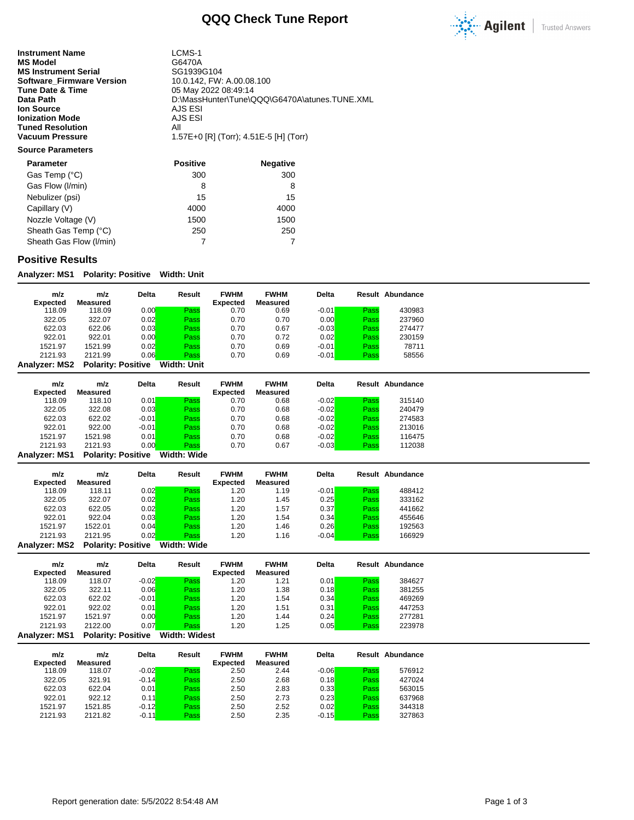

**Instrument Name** LCMS-1<br> **MS Model** G6470A **MS Model** G6470A<br> **MS Instrument Serial** GG1939G104 **MS Instrument Serial Serial SG1939G104**<br>**Software\_Firmware Version** 10.0.142, FW: A.00.08.100 **Software\_Firmware Version<br>Tune Date & Time Tune Date & Time** 05 May 2022 08:49:14<br> **Data Path** 05:MassHunter\Tune\C **Ion Source** AJS ESI<br> **Ionization Mode** AJS ESI **Ionization Mode Tuned Resolution All Constructs All Vacuum Pressure** 2015

D:\MassHunter\Tune\QQQ\G6470A\atunes.TUNE.XML<br>AJS ESI **Vacuum Pressure** 1.57E+0 [R] (Torr); 4.51E-5 [H] (Torr)

## **Source Parameters**

| <b>Parameter</b>        | <b>Positive</b> | <b>Negative</b> |
|-------------------------|-----------------|-----------------|
| Gas Temp (°C)           | 300             | 300             |
| Gas Flow (I/min)        | 8               | 8               |
| Nebulizer (psi)         | 15              | 15              |
| Capillary (V)           | 4000            | 4000            |
| Nozzle Voltage (V)      | 1500            | 1500            |
| Sheath Gas Temp (°C)    | 250             | 250             |
| Sheath Gas Flow (I/min) |                 |                 |

#### **Positive Results**

**Analyzer: MS1 Polarity: Positive Width: Unit**

| m/z<br><b>Expected</b> | m/z<br>Measured           | <b>Delta</b> | Result             | <b>FWHM</b><br><b>Expected</b> | <b>FWHM</b><br>Measured | <b>Delta</b> |      | Result Abundance |
|------------------------|---------------------------|--------------|--------------------|--------------------------------|-------------------------|--------------|------|------------------|
| 118.09                 | 118.09                    | 0.00         | Pass               | 0.70                           | 0.69                    | $-0.01$      | Pass | 430983           |
| 322.05                 | 322.07                    | 0.02         | Pass               | 0.70                           | 0.70                    | 0.00         | Pass | 237960           |
| 622.03                 | 622.06                    | 0.03         | Pass               | 0.70                           | 0.67                    | $-0.03$      | Pass | 274477           |
| 922.01                 | 922.01                    | 0.00         | Pass               | 0.70                           | 0.72                    | 0.02         | Pass | 230159           |
| 1521.97                | 1521.99                   | 0.02         | Pass               | 0.70                           | 0.69                    | $-0.01$      | Pass | 78711            |
| 2121.93                | 2121.99                   | 0.06         | Pass               | 0.70                           | 0.69                    | $-0.01$      | Pass | 58556            |
| Analyzer: MS2          | <b>Polarity: Positive</b> |              | <b>Width: Unit</b> |                                |                         |              |      |                  |

| m/z<br><b>Expected</b> | m/z<br>Measured | <b>Delta</b> | Result | <b>FWHM</b><br><b>Expected</b> | <b>FWHM</b><br>Measured | <b>Delta</b> |      | Result Abundance |
|------------------------|-----------------|--------------|--------|--------------------------------|-------------------------|--------------|------|------------------|
| 118.09                 | 118.10          | 0.01         | Pass   | 0.70                           | 0.68                    | $-0.02$      | Pass | 315140           |
| 322.05                 | 322.08          | 0.03         | Pass   | 0.70                           | 0.68                    | $-0.02$      | Pass | 240479           |
| 622.03                 | 622.02          | $-0.01$      | Pass   | 0.70                           | 0.68                    | $-0.02$      | Pass | 274583           |
| 922.01                 | 922.00          | $-0.01$      | Pass   | 0.70                           | 0.68                    | $-0.02$      | Pass | 213016           |
| 1521.97                | 1521.98         | 0.01         | Pass   | 0.70                           | 0.68                    | $-0.02$      | Pass | 116475           |
| 2121.93                | 2121.93         | 0.00         | Pass   | 0.70                           | 0.67                    | $-0.03$      | Pass | 112038           |
|                        |                 |              |        |                                |                         |              |      |                  |

**Analyzer: MS1 Polarity: Positive Width: Wide**

| m/z<br><b>Expected</b> | m/z<br>Measured           | Delta | Result      | <b>FWHM</b><br><b>Expected</b> | <b>FWHM</b><br>Measured | <b>Delta</b> |      | Result Abundance |
|------------------------|---------------------------|-------|-------------|--------------------------------|-------------------------|--------------|------|------------------|
| 118.09                 | 118.11                    | 0.02  | Pass        | 1.20                           | 1.19                    | $-0.01$      | Pass | 488412           |
| 322.05                 | 322.07                    | 0.02  | Pass        | 1.20                           | 1.45                    | 0.25         | Pass | 333162           |
| 622.03                 | 622.05                    | 0.02  | Pass        | 1.20                           | .57                     | 0.37         | Pass | 441662           |
| 922.01                 | 922.04                    | 0.03  | Pass        | 1.20                           | 1.54                    | 0.34         | Pass | 455646           |
| 1521.97                | 1522.01                   | 0.04  | Pass        | 1.20                           | 1.46                    | 0.26         | Pass | 192563           |
| 2121.93                | 2121.95                   | 0.02  | Pass        | 1.20                           | 1.16                    | $-0.04$      | Pass | 166929           |
| <b>Analyzer: MS2</b>   | <b>Polarity: Positive</b> |       | Width: Wide |                                |                         |              |      |                  |

**m/z Expected m/z Measured Delta Result FWHM Expected FWHM Measured Delta Result Abundance** 118.09 118.07 -0.02 Pass 1.20 1.21 0.01 Pass 384627 322.05 322.11 0.06<mark> Pass</mark> 1.20 1.38 0.18<mark> Pass</mark> 381255 622.03 622.02 -0.01 Pass 1.20 1.54 0.34 Pass 469269 922.01 922.02 0.01<mark> Pass</mark> 1.20 1.51 0.31<mark> Pass</mark> 447253 1521.97 1521.97 0.00 Pass 1.20 1.44 0.24 Pass 277281 2121.93 2122.00 0.07<mark> Pass</mark> 1.20 1.25 0.05<mark> Pass</mark> 223978 **Analyzer: MS1 Polarity: Positive Width: Widest**

| m/z<br><b>Expected</b> | m/z<br>Measured | <b>Delta</b> | Result | <b>FWHM</b><br><b>Expected</b> | <b>FWHM</b><br>Measured | <b>Delta</b> |      | Result Abundance |
|------------------------|-----------------|--------------|--------|--------------------------------|-------------------------|--------------|------|------------------|
| 118.09                 | 118.07          | $-0.02$      | Pass   | 2.50                           | 2.44                    | $-0.06$      | Pass | 576912           |
| 322.05                 | 321.91          | $-0.14$      | Pass   | 2.50                           | 2.68                    | 0.18         | Pass | 427024           |
| 622.03                 | 622.04          | 0.01         | Pass   | 2.50                           | 2.83                    | 0.33         | Pass | 563015           |
| 922.01                 | 922.12          | 0.11         | Pass   | 2.50                           | 2.73                    | 0.23         | Pass | 637968           |
| 1521.97                | 1521.85         | $-0.12$      | Pass   | 2.50                           | 2.52                    | 0.02         | Pass | 344318           |
| 2121.93                | 2121.82         | $-0.11$      | Pass   | 2.50                           | 2.35                    | $-0.15$      | Pass | 327863           |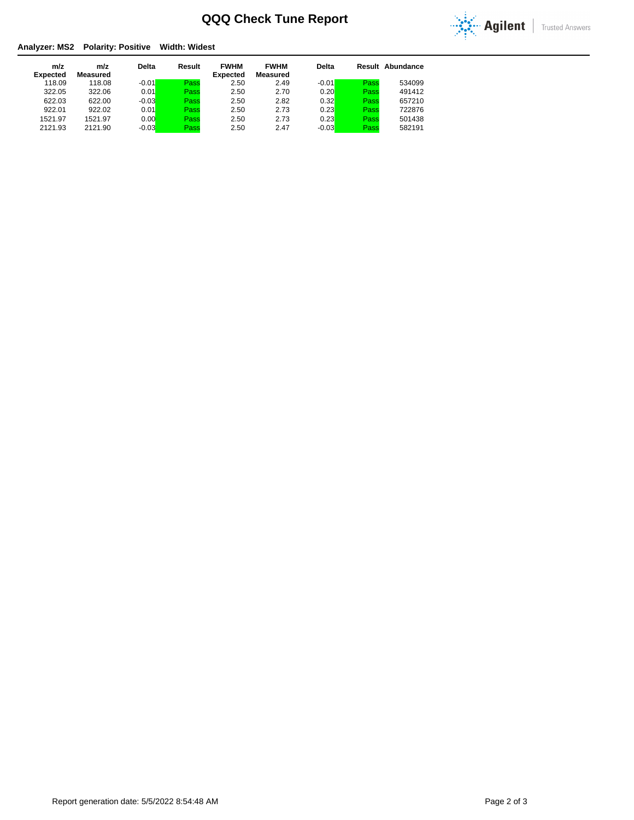

### **Analyzer: MS2 Polarity: Positive Width: Widest**

| m/z<br><b>Expected</b> | m/z<br>Measured | <b>Delta</b> | Result | <b>FWHM</b><br><b>Expected</b> | <b>FWHM</b><br>Measured | <b>Delta</b> |      | <b>Result Abundance</b> |
|------------------------|-----------------|--------------|--------|--------------------------------|-------------------------|--------------|------|-------------------------|
| 118.09                 | 118.08          | $-0.01$      | Pass   | 2.50                           | 2.49                    | $-0.01$      | Pass | 534099                  |
| 322.05                 | 322.06          | 0.01         | Pass   | 2.50                           | 2.70                    | 0.20         | Pass | 491412                  |
| 622.03                 | 622.00          | $-0.03$      | Pass   | 2.50                           | 2.82                    | 0.32         | Pass | 657210                  |
| 922.01                 | 922.02          | 0.01         | Pass   | 2.50                           | 2.73                    | 0.23         | Pass | 722876                  |
| 1521.97                | 1521.97         | 0.00         | Pass   | 2.50                           | 2.73                    | 0.23         | Pass | 501438                  |
| 2121.93                | 2121.90         | $-0.03$      | Pass   | 2.50                           | 2.47                    | $-0.03$      | Pass | 582191                  |
|                        |                 |              |        |                                |                         |              |      |                         |